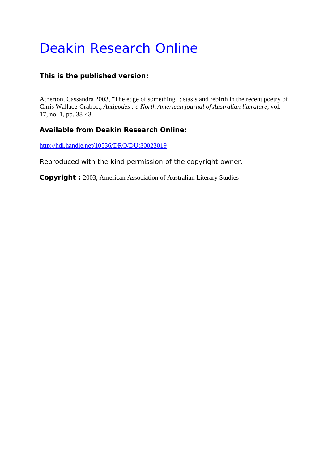## Deakin Research Online

## **This is the published version:**

Atherton, Cassandra 2003, "The edge of something" : stasis and rebirth in the recent poetry of Chris Wallace-Crabbe.*, Antipodes : a North American journal of Australian literature*, vol. 17, no. 1, pp. 38-43.

## **Available from Deakin Research Online:**

http://hdl.handle.net/10536/DRO/DU:30023019

Reproduced with the kind permission of the copyright owner.

**Copyright :** 2003, American Association of Australian Literary Studies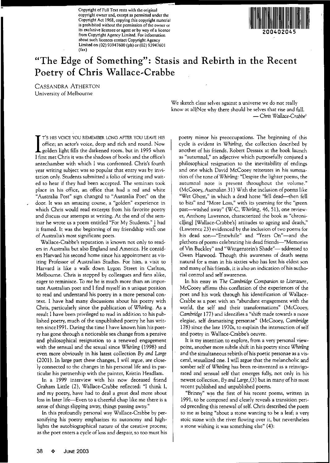**Copyright** of Full **Text rests with the original copyright owner and, except as pennitted under the Copyright Act 1968, copying this copyright material is** prohibited without the permission of the owner or **its exclusive licensee or agent or by way ofa licence from Copyright Agency Limited. For infonnation about such licences contact Copyright Agency** Umited on (02) 93947600 (ph) or (02) 93947601 (fax)



## **"The Edge of Something": Stasis and Rebirth in the Recent Poetry of Chris** Wallace~Crabbe

CASSANDRA ATHERTON **University of Melbourne**

> **We sketch clear selves against a universe we do not really** know at all/Nor why there should be selves that rise and fall. - Chris *Wallace-Crabbe'*

T'S HIS VOICE YOU REMEMBER LONG AFTER YOU LEAVE HIS<br>office; an actor's voice, deep and rich and round. Now<br>golden light fills the darkened room, but in 1995 when T'S HIS VOICE YOU REMEMBER LONG AFTER YOU LEAVE HIS **office; an actor's voice, deep and rich and round. Now** I first met Chris it was the shadows of books and the office's antechamber with which I was confronted. Chris's fourth **year writing subject was so popular that entry was by** invi~ **tation only. Students submitted a folio of writing and** wait~ ed to hear if they had been accepted. The seminars took **place in his office, an office that had a red and white "Australia Post" sign changed to "Australia Poet" on the door. It was an amazing course, a "golden" experience in which Chris would read excerpts from his favorite poetry and discuss our attempts at writing. At the end of the** sem~ inar he wrote us a poem entitled "For My Students." I had it framed. It was the beginning of my friendship with one **of Australia's most significant poets.**

Wallace-Crabbe's reputation is known not only to read**ers in Australia but also England and America. He** consid~ **ers Harvard his second home since his appointment as** vis~ **iting Professor of Australian Studies. For him, a visit to** Harvard is like a walk down Lygon Street in Carlton, Melbourne. Chris is stopped by colleagues and fans alike, **eager to reminisce. To me he is much more than an** impor~ **tant Australian poet and I find myself in a unique position to read and understand his poetry in a more' personal** con~ **text. I have had many discussions about his poetry with** Chris, particularly since the publication of Whirling. As a result I have been privileged to read in addition to his published poetry, much of the unpublished poetry he has written since 1991. During the time I have known him his poet**ry has gone through a noticeable sea change from a pensive and philosophical resignation to a renewed engagement** with the sensual and the sexual since Whirling (1998) and **even more obviously in his latest collection** *By and Large* (2001). In large part these changes, I will argue, are closely connected to the changes in his personal life and in par**ticular his partnership with the painter, Kristin Headlam.**

In a 1999 interview with his now deceased friend Graham Little (2), Wallace-Crabbe reflected: "I think **I,** and my poetry, have had to deal a great deal more about loss in later life-Even to a cheerful chap like me there is a sense of things slipping away, things passing away."

In this profoundly personal way Wallace-Crabbe by personifying his poetry emphasizes its autonomy and high**lights the autobiographical nature of the creative processj as the poet enters a cycle ofloss and despair, so too must his** **poetry mirror his preoccupations. The beginning of this** cycle is evident in Whirling, the collection described by **another of his friends, Roberr Dessaix at the book launch as "autumnal," an adjective which purposefully conjured a** philosophical resignation to the inevitability of endings **and one which David McCooey reiterates in his** summa~ tion of the tone of*Whirling:* "Despite the lighter poems, the **autumnal note is present throughout the volume."** (McCooey, *Australian* 31) With the inclusion of poems like "Wet Ghost," in which a dead horse "fell dead-then fell **to bits" and "More Loss," with its yearning for the "green** past--washed away" (W-C, Whirling, 46, 51), one review**er, Anthony Lawrence, characterized the book as** "chroni~ cl[ing] [Wallace-Crabbe's] attitudes to ageing and death," **(Lawrence 23) evidenced by the inclusion of two poems for** his dead son-"Erstwhile" and "Years On"-and the plethora of poems celebrating his dead friends-"Memories of Vin Buckley" and "Wittgenstein's Shade"-addressed to **Gwen Harwood. Though this awareness of death seems natural for a man in his sixties who has lost his eldest son and many** of his **friends, it is also an indication** of his autho~ **rial control and self awareness.**

In his essay in *The Cambridge* Companion to *Literature,* **McCooey affirms this conflation of the experiences of the** poet and his work through his identification of Wallace-Crabbe as a poet with an "abundant engagement with the world, the self and their transformations" (McCooey, *Cambridge* 177) and identifies a "shifr made towards a more elegiac, self dramatising personae" (McCooey, *Camlmdge* 178) since the late 1970s, to explain the intersection of self and poetry in Wallace-Crabbe's oeuvre.

**It is my intention to explore, from a very personal** view~ point, anothet more subtle shift in his poetry since Whirling **and the simultaneous rebirth of his poetic personae as a** vis~ ceral, sexualized one. I will argue that the melancholic and **somber self of** *Whirling* **has been re--invented as a** reinvigo~ rated and sensual self that emerges fully, not only in his newest collection, *By* and *Large,*(3) but in many of his most recent published and unpublished poems.

**"Brinny" was the first of his recent poems, written in** 1991, to be composed and clearly reveals a transition period preceding this renewal of self. Chris described the poem **to me as being "about a stone wanting to be a leaf; a very stoic stone with the river flowing over it, but nevertheless a stone wishing it was something else" (4):**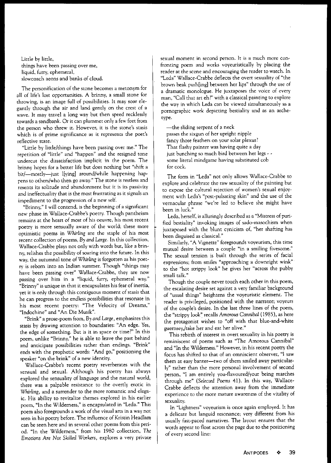Little by little, things have been passing over me, liquid, furry, ephemeral, slowcoach aeons and banks of cloud.

The personification of the stone becomes a metonym for all of life's lost opportunities. A brinny, a small stone for throwing, is an image full of possibilities. It may soar ele, gantly through the air and land gently on the crest of a wave. It may travel a long way but then speed recklessly towards a sandbank. Or it can plummet only a few feet from the person who threw it. However, it is the stone's stasis which is of prime significance as it represents the poet's reflective state.

"Little by little/things have been passing over me." The repetition of "little" and "happen" and the resigned tone undercut the dissatisfaction implicit in the poem. The brinny hopes for a better life but does nothing but "shift a bit/-mostly-just I[ying] around/while happening happens to others/who then go away." The stone is restless and resents its solitude and abandonment but it is its passivity and ineffectuality that is the most frustrating as it signals an impediment to the progression of a new self.

"Brinny," I will contend, is the beginning of a significant new phase in Wallace-Crabbe's poetry. Though pamheism remains at the heart of most of his oeuvre, his most recent poetry is more sensually aware of the world; these more optimistic poems in Whirling are the staple of his most recent collection of poems, *By* and Large. In this collection, Wallace-Crabbe plays not only with words but, like a brinny, relishes the possibility of soaring into the future. In this way, the autumnal tone of Whirling is forgotten as his poetry is reborn into an Indian summer. Though "things may have been passing over" Wallace-Crabbe, they are now passing over him in a "liquid, furry, ephemeral way." "Brinny" is unique in that it encapsulates his fear of inertia, yet it is only through this contiguous moment of stasis that he can progress to the endless possibilities that resonate in his most recent poetry: "The Velocity of Dreams," "Indochine" and "An Die Musik".

"Brink" a prose-poem from, *By and Large,* emphasizes this stasis by drawing attention to boundaries: "An edge. Yes, the edge of something. But is it in space or time?" In this poem, unlike "Brinny," he is able to leave the past behind and anticipate possibilities rather than endings. "Brink" ends with the prophetic words: "And go," positioning the speaker "on the brink" of a new identity.

Wallace-Crabbe's recent poetry reverberates with the sensual and sexual. Although his poetry has always explored the sensuality of language and the natural world, there was a palpable resistance to the overtly erotic in Whirling, and a surrender to the more romantic and elegaic. His ability to revitalize themes explored in his earlier poem, "In the Wilderness," is encapsulated in "Leda." This poem also foregrounds a work of the visual arts in a way not seen in his poetry before. The influence of Kristin Headlam can be seen here and in several other poems from this period. "In the Wilderness," from his 1980 collection, *The Emotions* Are *Not Skilled* Workers, explores a very private sexual moment in second person. It is a much more confronting poem and works voyeuristically by placing the reader at the scene and encouraging the reader to watch. In "Leda" Wallace-Crabbe deflects the overt sexuality of "the brown beak push[ing] between her lips" through the use of a dramatic monologue. He juxtaposes the voice of every man, "Call that art eh?" with a classical painting to explore the way in which Leda can be viewed simultaneously as a pornographic work depicting bestiality and as an archetype.

-the sliding serpent of <sup>a</sup> neck passes the sixgun of her upright nipple fancy those feathers on your solar plexus? That flashy painter was having quite a day just bunching so much bird between her legs - some literal mindgame having substituted cob for cock.

The form in "Leda" not only allows Wallace-Crabbe to explore and celebrate the raw sexuality of the painting but to expose the cultural rejection of women's sexual enjoyment with Leda's "post-pulsating skin" and the use of the vernacular phrase "we're led to believe she might have been in luck."

Leda, herself, is alluringly described as a "Mistress of purified bestiality" invoking images of sado-masochism when juxtaposed with the blunt cynicism of, "her shafting has been disguised as classical."

Similarly, "A Vignette" foregrounds voyeurism, this time mutual desire between a couple "in a smiling fivesome." The sexual tension is built through the series of facial expressions; from smiles "approaching a downright wink" to the "hot strippy look" he gives her "across the pubby small talk."

Though the couple never touch each other in this poem, the escalating desire set against a very familiar background of "usual things" heightens the voyeuristic element. The reader is privileged, positioned with the narrator; voyeurs of the couple's desire. In the last three lines of the poem, the "strippy look" recalls *Amorous Cannibal* (1985), as here the protagonist wishes to "off with that blue-and-white guernseyJtake her and eat her alive."

This rebirth of interest in overt sexuality in his poetry is reminiscent of poems such as "The Amorous Cannibal" and "In the Wilderness." However, in his recent poetry the focus has shifted to that of an omniscient observer, "I saw them at easy banter-two of them smiled away particular-Iy" rather than the more personal involvement of second person, "I am entirely you-flavoured/your being marches through me" *(Selected Poems* 41). In this way, Wallace-Crabbe deflects the attention away from the immediate experience to the more mature awareness of the vitality of sexuality.

In "Lightness" voyeurism is once again employed. It has a delicate but languid resonance; very different from his usually fast-paced narratives. The layout ensures that the words appear to float across the page due to the positioning of every second line: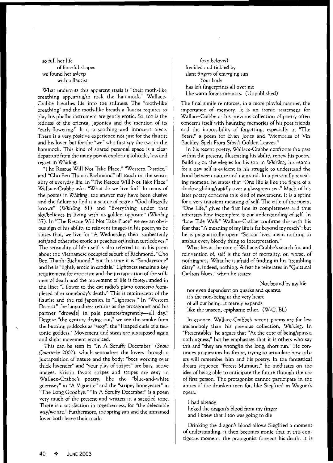so full her life of fanciful shapes **we found her asleep with a flautist**

**What undercuts this apparent stasis is "their** moth~like **breathing appearing/to rock the hammock."** Wallace~ Crabbe breathes life into the stillness. The "moth-like **breathing" and the moth-like breath a flautist requires to"** play his phallic instrument are gently erotic. So, too is the **redness of the oriental japonica and the mention of its** "early~flowering." **It is a soothing and innocent piece. There is a very pOsitive experience not just for the flautist** and his lover, but for the "we" who first spy the two in the **hammock. This kind of shared personal space is a clear departure from the many poems exploring solitude, loss and regret in Whirling.**

**liThe Rescue Will Not Take Place," "Western District,"** and "Cho Ben Thanh: Richmond" all touch on the sensualiry of everyday life. In "The Rescue Will Not Take Place" Wallace-Crabbe asks: "What do we live for?" In many of **the poems in** *Whirling,* **the answer may have been elusive** and the failure to find it a source of regret: "God allegedly knows" (Whirling 51) and "Everything under that sky/believes in living with its golden opposite" (Whirling 37). In "The Rescue Will Not Take Place" we see an obvi**l**  $\alpha$  **ous** sign of his ability to reinvent images in his poetry as he **states that, we live for "A Wednesday, then, sunbeatenly soft/and otherwise erotic as peaches or/Indian turtledoves." The sensuality of life itself is also referred to in his poem** about the Vietnamese occupied suburb of Richmond, "Cho **Ben Thanh: Richmond," but this time it is "Sundayesque" and he is "lightly erotic in sandals." Lightness remains a key requirement for eroticism and the juxtaposition of the** still~ ness of death and the movement of life is foregrounded in **the line: "1 flower to the car radio's piano** concerto,/com~ pleted after somebody's death." This is reminiscent of the **flautist and the red japonica in "Lighmess." In "Western District" the languidness returns as the protagonist and his** partner "drows[e] in pale pasture/fragrantly-all day." **Despite "the century drying out," we see the smoke from the burning paddocks as "sexy": the "Heaped curls of a** teu~ **tonic goddess." Movement and stasis are juxtaposed again and slight movement eroticized.**

This can be seen in "In A Scruffy December" (Snow *Quarterly* 2002), which sensualizes the lovers through a **juxtaposition of nature and the body: "bees working over thick lavender" and "your play of stripes" are busy, active images. Kristin favors stripes and stripes are sexy in** Wallace-Crabbe's poetry, like the "blue-and-white **guernsey" in "A Vignette" and the "stripey honeyeater" in** "The Long Goodbye." "In A Scruffy December" is a poem **very much of the present and written in a satisfied rone. There is a satisfaction in togetherness; for "the delectable way/we are." Furthermore, the spring sun and the unnamed** lover both leave their mark:

foxy beloved freckled and tickled by **slant fingers of emerging sun.** Your body has left fingerprints all over me like warm forget-me-nots. (Unpublished)

**The final simile reinforces, in a more playful manner, the importance of memory. It is an ironic statement for** Wallace-Crabbe as his previous collection of poetry often **concerns itself with haunting memories of his poet friends and the impossibility of forgetting, especially in "The Years," a poem for Evan lones and "Memories of Vin** Buckley, Spelt From Sibyl's Golden Leaves."

In his recent poetry, Wallace-Crabbe confronts rhe past **within the present, illustrating his ability renew his poetry.** Building on the elegies for his son in Whirling, his search **for a new self is evident in his struggle to understand the** bond between nature and mankind. In a personally reveal**ing moment, he states that "One life is like the figure of a shadow gliding/rapidly over a glassgreen sea." Much of his later poetry concerns this kind of movement. It is a sprint** for a very transient meaning of self. The title of the poem, **"One Life," gives the first line its completeness and thus reiterates how incomplete is our understanding of self. In** "Low Tide Walk" Wallace-Crabbe confirms this with his fear that "A meaning of my life is far beyond my reach"; but **he is pragmatically open: "So our lives mean nothing to art/but every bloody thing to Interpretation."**

What lies at the core of Wallace-Crabbe's search for, and **reinvention of, self is the fear of mortality, or, worse, of** nothingness. What he is afraid of finding in his "trembling . **diary" is, indeed, nothing. A fear he reiterates in "Quizzical Carlton Blues," when he states:**

Not bound by my life

**nor even dependent on quarks and quanta it's the non-being at the very heart** of all Out being. It merely expands like the unseen, epiphanic ether. (W-C, BL)

**In essence,** Wallace~Crabbe's **recent poems are far less** melancholy than his previous collection, *Whirling.* In **"Presentables" he argues that "At the core of being/spins a nothingness," but he emphasizes that it is others who say this and "they are wrong/in the long, short run." He** con~ **tinues to question his future, trying to articulate how** oth~ ers will remember him and his poetry. In the fantastical **dream sequence "Forest Murmurs," he meditates on the** idea of being able to anticipate the future through the use **of first person. The protagonist cannot participate in the** antics of the drunken men for, like Siegfried in Wagner's **opera:**

I had already licked the dragon's blood from my finger and 1 knew that I too was going to die

Drinking the dragon's blood allows Siegfried a moment **of understanding, it then becomes ironic that in this** con~ **tiguous moment, the protagonist foresees his death. It is**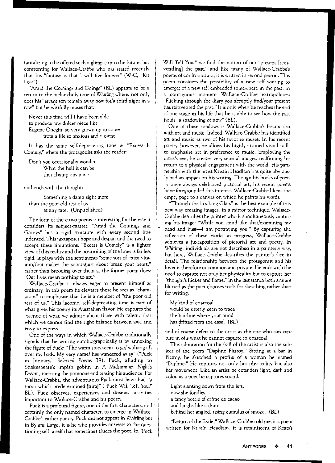**tantalizing to be offered such a glimpse into the future, but** confronting for Wallace-Crabbe who has stated recently that his "fantasy is that 1 will live forever" (W-C, "Kit **Lost").**

**"Amid the Comings and Goings" (BL) appears to be a return to the melancholy tone of** *Whirling* **where, not only does his "errant son remain away now forla third night in a row" but he w'istfully muses that:**

Never this time will I have been able **to produce any dulcet piece like Eugene Onegin: so very grown up to come from a life so anxious and violent**

**It has the same self,deprecating tone as "Excess Is Comely," where the protagonist asks the reader:**

**Don't you occasionally wonder** What the hell it can be **that champions have**

and ends with the thought:

**Something a damn sight more** than the poor old rest of us at any rate. (Unpublished)

**The fonn of these two poems is interesting for the way it considers its subject,matter. "Amid the Comings and Goings" has a rigid structure with every second line** indented. This juxtaposes hope and despair and the need to **accept these limitations. "Excess is Comely" is a lighter view ofthis reality and the positioning of the lines is far less rigid. It plays with the sentiments "some sort of extra vita,** min/that makes the sonata/just about break your heart," **rather than brooding over them as the fonner poem does: "Our lives mean nothing to art."**

Wallace-Crabbe is always eager to present himself as **ordinary. In this poem he elevates those he sees as ucham, pions" to emphasize that he is a member of "the poor old rest of us." This laconic, self,deprecating tone is part of what gives his poetry its Australian flavor. He captures the essence of what we admire about those with talentj that** which we cannot find the right balance between awe and **envy to express.**

One of the ways in which Wallace-Crabbe rraditionally signals thar he writing autobiographically is by annexing the figure of Puck: "The warm stars seem to go/ walking all over my body. My very name/ has wandered away" ("Puck in January," Selected Poems 39). Puck, alluding to Shakespeare's impish goblin in A *Midsummer* Night's *Dream,* **taunting the pompous and teasing his audience. For** Wallace-Crabbe, the adventurous Puck must have had "a spoor which predetermined [him]" ("Puck Will Tell You," **BL). Puck observes, experiences and dreams, activities** important to Wallace-Crabbe and his poerry.

**Puck is a profound figure, one of the first characters, and** . **certainly the only named character, to emerge in Wallace'** Crabbe's earlier poetry. Puck did not appear in Whirling but in *By* and *Large,* it is he who provides answers to the questioning self, a self that sometimes eludes the poet. In "Puck **Will Tell You/' we find the notion of our "present [rein,** vent[ing] the past," and like many of Wallace-Crabbe's **poems of confrontation, it is written in second person. This poem considers the possibility of a new self waiting to emergej of a new self embedded somewhere in the past. In a contiguous moment Wallace,Crabbe extrapolates:** "Flicking through the diary you abruptly find/your present **has reinvented the past." It is only when he reaches the end** of one stage in·his life rhat he is able to see how the past holds "a shadowing of now" (BL).

One of these shadows is Wallace-Crabbe's fascination with art and music. Indeed, Wallace-Crabbe has identified **art and music as two of his favorite muses. In his recent** poetry, however, he allows his highly attuned visual ski1ls **to emphasize art in preference to music. Employing the artist's eye, he creates very sensual images, reaffirming his return to a physical engagement with the world. His part, nership with the artist Kristin Headlam has quite obvious,** Iy had an impact on his writing. Though his books of poet**ry have always celebrated pictorial art, his recent poems** have foregrounded this interest. Wallace-Crabbe likens the **empty page to a canvas on which he paints his words.**

"Through the Looking Glass" is the best example of this **new way creating images. In a mirror technique, Wallace, Crabbe describes the painter who is simultaneously** captur~ ing his image: "While you stand like that/examining my head and bust-I am portraying you." By capturing the reflection of these works in progress, Wallace-Crabbe **achieves a juxtaposition of pictorial art and poetry. In Whirling, individuals are not described in a painterly way,** but here, Wallace-Crabbe describes the painter's face in detail. The relationship between the protagonist and his **lover is therefore uncommon and private. He ends with the need to capture not only her physicality but to capture her** "thought's flicker and flame." In the last stanza both arts are blurred as the poet chooses tools for sketching rather than **for writing:**

My kind of charcoal **would be utterly keen to trace** the hairline where your mind has drifted from the easel (BL)

**and of course defers to the artist as the one who can cap' ture in oils what he cannot capture in charcoal.**

This admiration for the skill of the artist is also the sub**ject of the poem "Daphne Fitzroy." Sitting at a bar in** Fitzroy, he sketched a profile of a woman he named **"Daphne." He captures not only her physicality but also her movement. Like an artist he considers light, dark and calor, as a poet he captures sound:**

Light slanting down from the left,

now she fondles

a fancy bottle of cr?me de cacao

and laughs like a drain

behind her angled, rising cumulus of smoke. (BL)

"Return of the Exile," Wallace-Crabbe told me, is a poem **written for Kristin Headlam. It is reminiscent of Keats's**